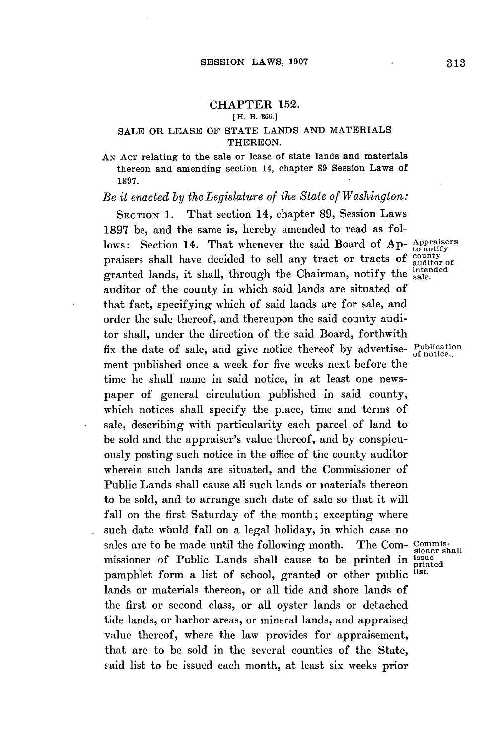## **CHAPTER 152.**

## **[H. B. 386.]**

## **SALE** OR **LEASE OF STATE LANDS AND** MATERIALS THEREON.

**AN ACT** relating to the sale or lease of state lands and materials thereon and amending section 14, chapter **89** Session Laws of **1897.**

## *Be it enacted by theLegislature of the State of Washington:*

SECTION **1. That** section 14, chapter **89,** Session Laws **1897** be, and the same is, hereby amended to read as follows: Section 14. That whenever the said Board of Ap- Appraisers praisers shall have decided to sell any tract or tracts of  $_{\text{auditor of}}^{\text{county}}$ granted lands, it shall, through the Chairman, notify the intended auditor of the county in which said lands are situated of that fact, specifying which of said lands are for sale, and order the sale thereof, and thereupon the said county auditor shall, under the direction of the said Board, forthwith fix the date of sale, and give notice thereof **by** advertise- Publication ment published once a week for five weeks next before the time he shall name in said notice, in at least one newspaper of general circulation published in said county, which notices shall specify the place, time and terms of sale, describing with particularity each parcel of land to be sold and the appraiser's value thereof, and **by** conspicuously posting such notice in the office of the county auditor wherein such lands are situated, and the Commissioner of Public Lands shall cause all such lands or materials thereon to be sold, and to arrange such date of sale so that it will fall on the first Saturday of the month; excepting where such date wbuld fall on a legal holiday, in which case no sales are to be made until the following month. The Com- Commismissioner of Public Lands shall cause to be printed in  $\frac{1}{p}$  printed property printed in  $\frac{1}{p}$  printed pamphlet form a list of school, granted or other public lands or materials thereon, or all tide and shore lands of the first or second class, or all oyster lands or detached tide lands, or harbor areas, or mineral lands, and appraised value thereof, where the law provides for appraisement, that are to be sold in the several counties of the State, said list to be issued each month, at least six weeks prior

**of** notice..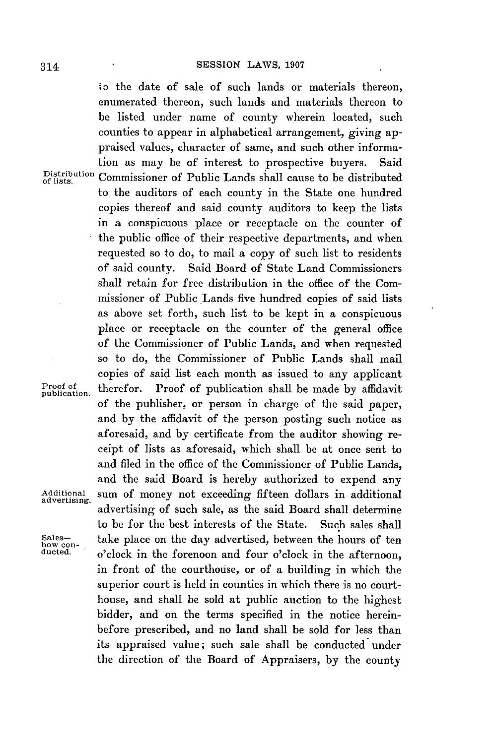'o the date of sale of such lands or materials thereon, enumerated thereon, such lands and materials thereon to be listed under name of county wherein located, such counties to appear in alphabetical arrangement, giving appraised values, character of same, and such other information as may be of interest to prospective buyers. Said Distribution Commissioner of Public Lands shall cause to be distributed to the auditors of each county in the State one hundred copies thereof and said county auditors to keep the lists in a conspicuous place or receptacle on the counter of the public office of their respective departments, and when requested so to do, to mail a copy of such list to residents of said county. Said Board of State Land Commissioners shall retain for free distribution in the office of the Commissioner of Public Lands five hundred copies of said lists as above set forth, such list to be kept in a conspicuous place or receptacle on the counter of the general office of the Commissioner of Public Lands, and when requested so to do, the Commissioner of Public Lands shall mail copies of said list each month as issued to any applicant Proof **of** therefor. Proof of publication shall be made **by** affidavit publication. of the publisher, or person in charge of the said paper, and **by** the affidavit of the person posting such notice as aforesaid, and **by** certificate from the auditor showing receipt of lists as aforesaid, which shall be at once sent to and filed in the office of the Commissioner of Public Lands, and the said Board is hereby authorized to expend any Additional sum of money not exceeding fifteen dollars in additional advertising. advertising of such sale, as the said Board shall determine to be **for** the best interests of the State. Such sales shall Sales-<br>how con-<br>ducted. o'clock in the forenoon and four o'clock in the afternoon, in front of the courthouse, or of a building in which the superior court is held in counties in which there is no courthouse, and shall be sold at public auction to the highest bidder, and on the terms specified in the notice hereinbefore prescribed, and no land shall be sold for less than its appraised value; such sale shall be conducted under the direction of the Board of Appraisers, **by** the county